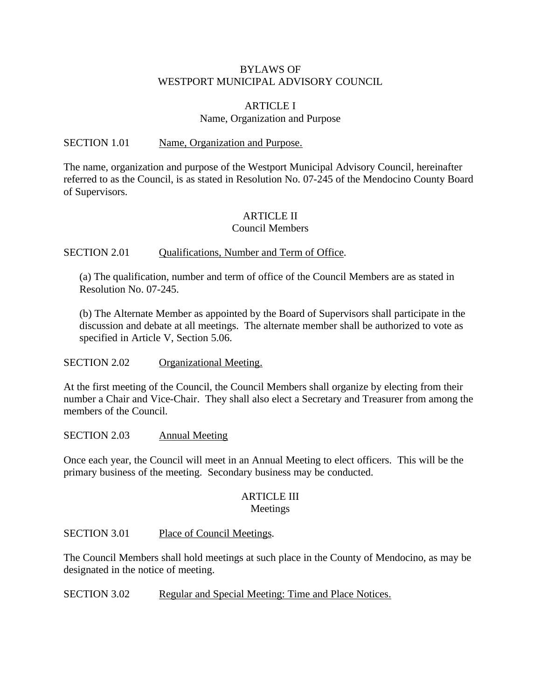#### BYLAWS OF WESTPORT MUNICIPAL ADVISORY COUNCIL

#### ARTICLE I Name, Organization and Purpose

#### SECTION 1.01 Name, Organization and Purpose.

The name, organization and purpose of the Westport Municipal Advisory Council, hereinafter referred to as the Council, is as stated in Resolution No. 07-245 of the Mendocino County Board of Supervisors.

## ARTICLE II

#### Council Members

#### SECTION 2.01 Qualifications, Number and Term of Office.

(a) The qualification, number and term of office of the Council Members are as stated in Resolution No. 07-245.

(b) The Alternate Member as appointed by the Board of Supervisors shall participate in the discussion and debate at all meetings. The alternate member shall be authorized to vote as specified in Article V, Section 5.06.

SECTION 2.02 Organizational Meeting.

At the first meeting of the Council, the Council Members shall organize by electing from their number a Chair and Vice-Chair. They shall also elect a Secretary and Treasurer from among the members of the Council.

SECTION 2.03 Annual Meeting

Once each year, the Council will meet in an Annual Meeting to elect officers. This will be the primary business of the meeting. Secondary business may be conducted.

#### ARTICLE III Meetings

SECTION 3.01 Place of Council Meetings.

The Council Members shall hold meetings at such place in the County of Mendocino, as may be designated in the notice of meeting.

SECTION 3.02 Regular and Special Meeting: Time and Place Notices.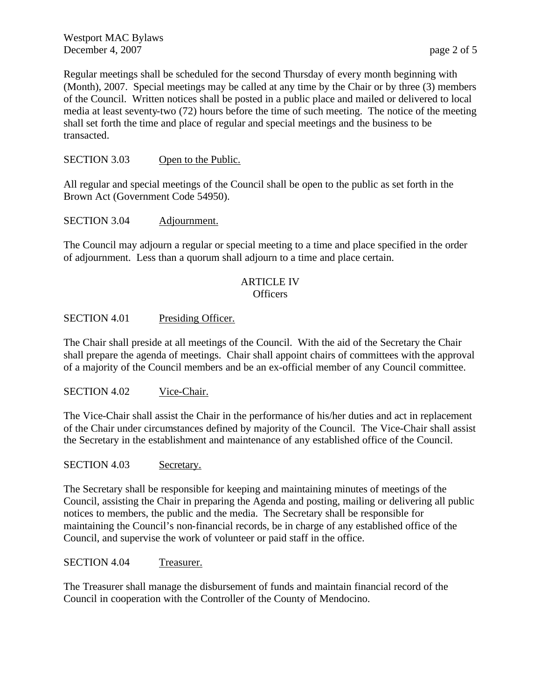Westport MAC Bylaws December 4, 2007 page 2 of 5

Regular meetings shall be scheduled for the second Thursday of every month beginning with (Month), 2007. Special meetings may be called at any time by the Chair or by three (3) members of the Council. Written notices shall be posted in a public place and mailed or delivered to local media at least seventy-two (72) hours before the time of such meeting. The notice of the meeting shall set forth the time and place of regular and special meetings and the business to be transacted.

#### SECTION 3.03 Open to the Public.

All regular and special meetings of the Council shall be open to the public as set forth in the Brown Act (Government Code 54950).

#### SECTION 3.04 Adjournment.

The Council may adjourn a regular or special meeting to a time and place specified in the order of adjournment. Less than a quorum shall adjourn to a time and place certain.

# ARTICLE IV

# Officers

#### SECTION 4.01 Presiding Officer.

The Chair shall preside at all meetings of the Council. With the aid of the Secretary the Chair shall prepare the agenda of meetings. Chair shall appoint chairs of committees with the approval of a majority of the Council members and be an ex-official member of any Council committee.

#### SECTION 4.02 Vice-Chair.

The Vice-Chair shall assist the Chair in the performance of his/her duties and act in replacement of the Chair under circumstances defined by majority of the Council. The Vice-Chair shall assist the Secretary in the establishment and maintenance of any established office of the Council.

#### SECTION 4.03 Secretary.

The Secretary shall be responsible for keeping and maintaining minutes of meetings of the Council, assisting the Chair in preparing the Agenda and posting, mailing or delivering all public notices to members, the public and the media. The Secretary shall be responsible for maintaining the Council's non-financial records, be in charge of any established office of the Council, and supervise the work of volunteer or paid staff in the office.

#### SECTION 4.04 Treasurer.

The Treasurer shall manage the disbursement of funds and maintain financial record of the Council in cooperation with the Controller of the County of Mendocino.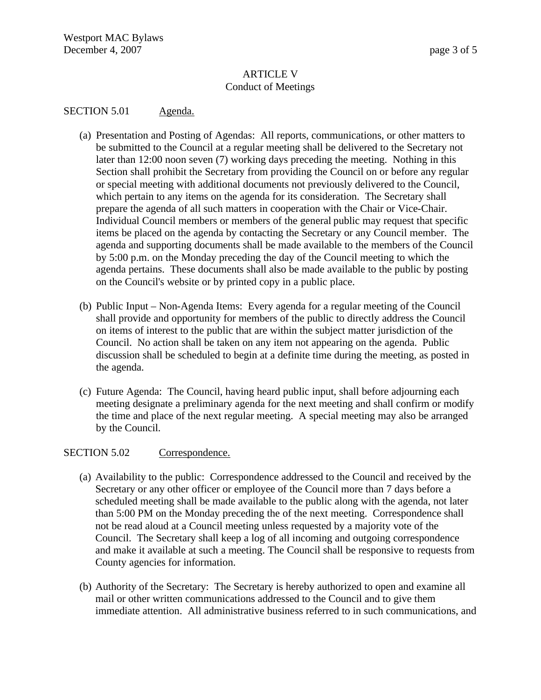#### ARTICLE V Conduct of Meetings

#### SECTION 5.01 Agenda.

- (a) Presentation and Posting of Agendas: All reports, communications, or other matters to be submitted to the Council at a regular meeting shall be delivered to the Secretary not later than 12:00 noon seven (7) working days preceding the meeting. Nothing in this Section shall prohibit the Secretary from providing the Council on or before any regular or special meeting with additional documents not previously delivered to the Council, which pertain to any items on the agenda for its consideration. The Secretary shall prepare the agenda of all such matters in cooperation with the Chair or Vice-Chair. Individual Council members or members of the general public may request that specific items be placed on the agenda by contacting the Secretary or any Council member. The agenda and supporting documents shall be made available to the members of the Council by 5:00 p.m. on the Monday preceding the day of the Council meeting to which the agenda pertains. These documents shall also be made available to the public by posting on the Council's website or by printed copy in a public place.
- (b) Public Input Non-Agenda Items: Every agenda for a regular meeting of the Council shall provide and opportunity for members of the public to directly address the Council on items of interest to the public that are within the subject matter jurisdiction of the Council. No action shall be taken on any item not appearing on the agenda. Public discussion shall be scheduled to begin at a definite time during the meeting, as posted in the agenda.
- (c) Future Agenda: The Council, having heard public input, shall before adjourning each meeting designate a preliminary agenda for the next meeting and shall confirm or modify the time and place of the next regular meeting. A special meeting may also be arranged by the Council.

#### SECTION 5.02 Correspondence.

- (a) Availability to the public: Correspondence addressed to the Council and received by the Secretary or any other officer or employee of the Council more than 7 days before a scheduled meeting shall be made available to the public along with the agenda, not later than 5:00 PM on the Monday preceding the of the next meeting. Correspondence shall not be read aloud at a Council meeting unless requested by a majority vote of the Council. The Secretary shall keep a log of all incoming and outgoing correspondence and make it available at such a meeting. The Council shall be responsive to requests from County agencies for information.
- (b) Authority of the Secretary: The Secretary is hereby authorized to open and examine all mail or other written communications addressed to the Council and to give them immediate attention. All administrative business referred to in such communications, and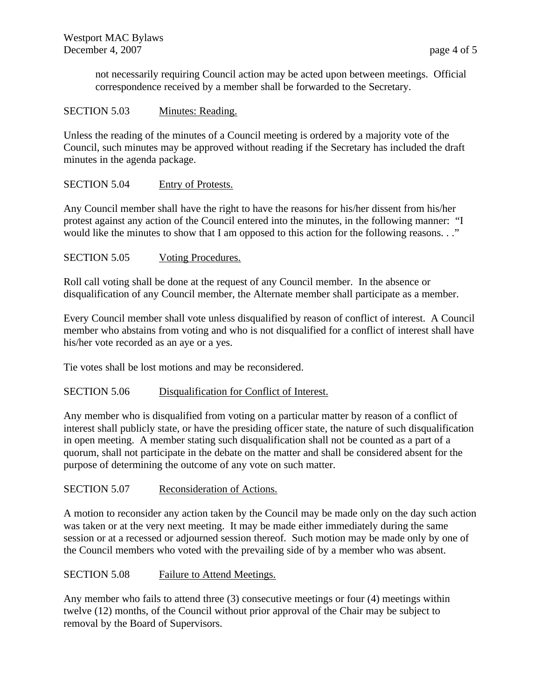not necessarily requiring Council action may be acted upon between meetings. Official correspondence received by a member shall be forwarded to the Secretary.

#### SECTION 5.03 Minutes: Reading.

Unless the reading of the minutes of a Council meeting is ordered by a majority vote of the Council, such minutes may be approved without reading if the Secretary has included the draft minutes in the agenda package.

### SECTION 5.04 Entry of Protests.

Any Council member shall have the right to have the reasons for his/her dissent from his/her protest against any action of the Council entered into the minutes, in the following manner: "I would like the minutes to show that I am opposed to this action for the following reasons. . ."

#### SECTION 5.05 Voting Procedures.

Roll call voting shall be done at the request of any Council member. In the absence or disqualification of any Council member, the Alternate member shall participate as a member.

Every Council member shall vote unless disqualified by reason of conflict of interest. A Council member who abstains from voting and who is not disqualified for a conflict of interest shall have his/her vote recorded as an aye or a yes.

Tie votes shall be lost motions and may be reconsidered.

#### SECTION 5.06 Disqualification for Conflict of Interest.

Any member who is disqualified from voting on a particular matter by reason of a conflict of interest shall publicly state, or have the presiding officer state, the nature of such disqualification in open meeting. A member stating such disqualification shall not be counted as a part of a quorum, shall not participate in the debate on the matter and shall be considered absent for the purpose of determining the outcome of any vote on such matter.

#### SECTION 5.07 Reconsideration of Actions.

A motion to reconsider any action taken by the Council may be made only on the day such action was taken or at the very next meeting. It may be made either immediately during the same session or at a recessed or adjourned session thereof. Such motion may be made only by one of the Council members who voted with the prevailing side of by a member who was absent.

#### SECTION 5.08 Failure to Attend Meetings.

Any member who fails to attend three (3) consecutive meetings or four (4) meetings within twelve (12) months, of the Council without prior approval of the Chair may be subject to removal by the Board of Supervisors.